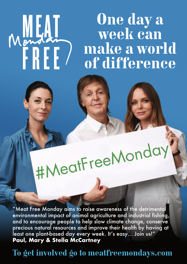# **One day a week can make a world of difference**

#MeatFreeMonday

MEAT

"Meat Free Monday aims to raise awareness of the detrimental environmental impact of animal agriculture and industrial fishing, and to encourage people to help slow climate change, conserve precious natural resources and improve their health by having at least one plant-based day every week. It's easy… Join us!" **Paul, Mary & Stella McCartney**

# **To get involved go to meatfreemondays.com**